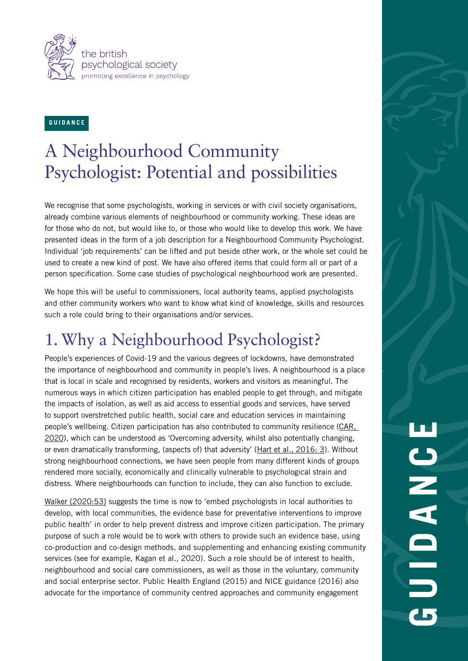

### **G U I D A N C E**

### A Neighbourhood Community Psychologist: Potential and possibilities

We recognise that some psychologists, working in services or with civil society organisations, already combine various elements of neighbourhood or community working. These ideas are for those who do not, but would like to, or those who would like to develop this work. We have presented ideas in the form of a job description for a Neighbourhood Community Psychologist. Individual 'job requirements' can be lifted and put beside other work, or the whole set could be used to create a new kind of post. We have also offered items that could form all or part of a person specification. Some case studies of psychological neighbourhood work are presented.

We hope this will be useful to commissioners, local authority teams, applied psychologists and other community workers who want to know what kind of knowledge, skills and resources such a role could bring to their organisations and/or services.

### 1. Why a Neighbourhood Psychologist?

People's experiences of Covid-19 and the various degrees of lockdowns, have demonstrated the importance of neighbourhood and community in people's lives. A neighbourhood is a place that is local in scale and recognised by residents, workers and visitors as meaningful. The numerous ways in which citizen participation has enabled people to get through, and mitigate the impacts of isolation, as well as aid access to essential goods and services, have served to support overstretched public health, social care and education services in maintaining people's wellbeing. Citizen participation has also contributed to community resilience [\(CAR,](https://www.bps.org.uk/coronavirus-resources/professional/community-action-resilience)  [2020\)](https://www.bps.org.uk/coronavirus-resources/professional/community-action-resilience), which can be understood as 'Overcoming adversity, whilst also potentially changing, or even dramatically transforming, (aspects of) that adversity' [\(Hart et al., 2016: 3\)](https://journals.sagepub.com/doi/full/10.1177/2158244016682477). Without strong neighbourhood connections, we have seen people from many different kinds of groups rendered more socially, economically and clinically vulnerable to psychological strain and distress. Where neighbourhoods can function to include, they can also function to exclude.

[Walker \(2020:53\)](https://thepsychologist.bps.org.uk/volume-33/summer-2020/what-remarkable-about-what-weve-achieved-its-unremarkable) suggests the time is now to 'embed psychologists in local authorities to develop, with local communities, the evidence base for preventative interventions to improve public health' in order to help prevent distress and improve citizen participation. The primary purpose of such a role would be to work with others to provide such an evidence base, using co-production and co-design methods, and supplementing and enhancing existing community services (see for example, Kagan et al., 2020). Such a role should be of interest to health, neighbourhood and social care commissioners, as well as those in the voluntary, community and social enterprise sector. Public Health England (2015) and NICE guidance (2016) also advocate for the importance of community centred approaches and community engagement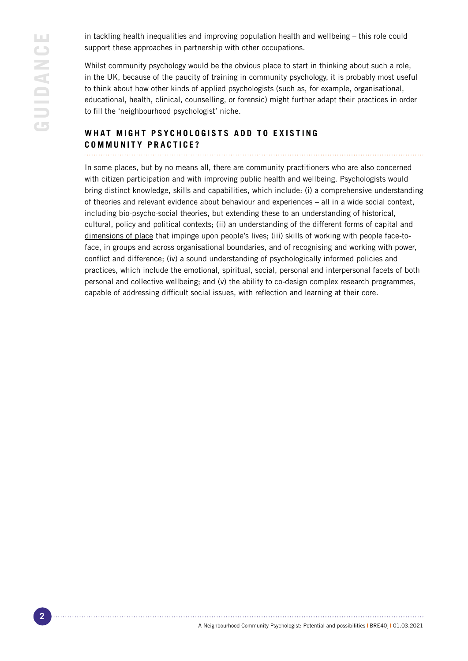in tackling health inequalities and improving population health and wellbeing – this role could support these approaches in partnership with other occupations.

Whilst community psychology would be the obvious place to start in thinking about such a role. in the UK, because of the paucity of training in community psychology, it is probably most useful to think about how other kinds of applied psychologists (such as, for example, organisational, educational, health, clinical, counselling, or forensic) might further adapt their practices in order to fill the 'neighbourhood psychologist' niche.

### WHAT MIGHT PSYCHOLOGISTS ADD TO EXISTING **COMMUNITY PRACTICE?**

In some places, but by no means all, there are community practitioners who are also concerned with citizen participation and with improving public health and wellbeing. Psychologists would bring distinct knowledge, skills and capabilities, which include: (i) a comprehensive understanding of theories and relevant evidence about behaviour and experiences – all in a wide social context, including bio-psycho-social theories, but extending these to an understanding of historical, cultural, policy and political contexts; (ii) an understanding of the [different forms of capital](https://www.gjcpp.org/pdfs/AAnglin-CommCapital-FINAL.pdf) and [dimensions of place](https://placestandard.scot/) that impinge upon people's lives; (iii) skills of working with people face-toface, in groups and across organisational boundaries, and of recognising and working with power, conflict and difference; (iv) a sound understanding of psychologically informed policies and practices, which include the emotional, spiritual, social, personal and interpersonal facets of both personal and collective wellbeing; and (v) the ability to co-design complex research programmes, capable of addressing difficult social issues, with reflection and learning at their core.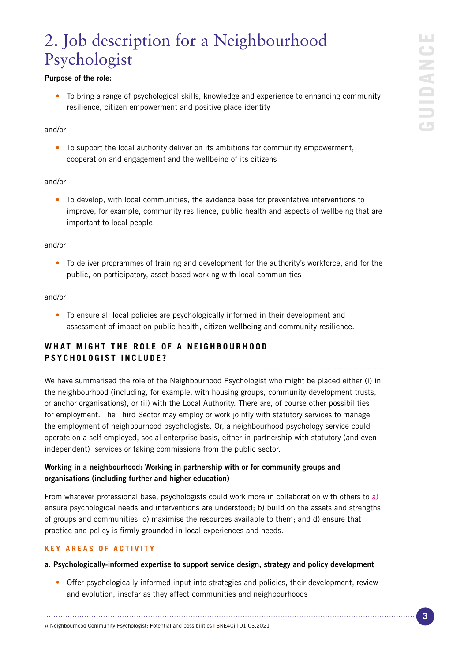### 2. Job description for a Neighbourhood Psychologist

### Purpose of the role:

• To bring a range of psychological skills, knowledge and experience to enhancing community resilience, citizen empowerment and positive place identity

### and/or

• To support the local authority deliver on its ambitions for community empowerment, cooperation and engagement and the wellbeing of its citizens

### and/or

• To develop, with local communities, the evidence base for preventative interventions to improve, for example, community resilience, public health and aspects of wellbeing that are important to local people

### and/or

• To deliver programmes of training and development for the authority's workforce, and for the public, on participatory, asset-based working with local communities

### and/or

• To ensure all local policies are psychologically informed in their development and assessment of impact on public health, citizen wellbeing and community resilience.

### WHAT MIGHT THE ROLE OF A NEIGHBOURHOOD

### **PSYCHOLOGIST INCLUDE?**

We have summarised the role of the Neighbourhood Psychologist who might be placed either (i) in the neighbourhood (including, for example, with housing groups, community development trusts, or anchor organisations), or (ii) with the Local Authority. There are, of course other possibilities for employment. The Third Sector may employ or work jointly with statutory services to manage the employment of neighbourhood psychologists. Or, a neighbourhood psychology service could operate on a self employed, social enterprise basis, either in partnership with statutory (and even independent) services or taking commissions from the public sector.

### Working in a neighbourhood: Working in partnership with or for community groups and organisations (including further and higher education)

From whatever professional base, psychologists could work more in collaboration with others to a) ensure psychological needs and interventions are understood; b) build on the assets and strengths of groups and communities; c) maximise the resources available to them; and d) ensure that practice and policy is firmly grounded in local experiences and needs.

### **KEY AREAS OF ACTIVITY**

### a. Psychologically-informed expertise to support service design, strategy and policy development

• Offer psychologically informed input into strategies and policies, their development, review and evolution, insofar as they affect communities and neighbourhoods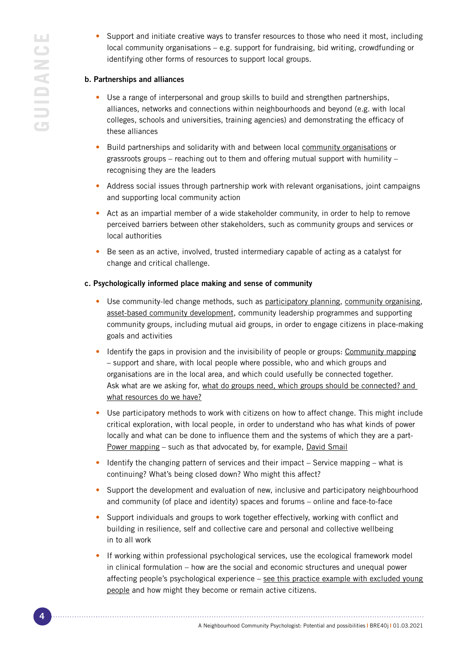• Support and initiate creative ways to transfer resources to those who need it most, including local community organisations – e.g. support for fundraising, bid writing, crowdfunding or identifying other forms of resources to support local groups.

### b. Partnerships and alliances

- Use a range of interpersonal and group skills to build and strengthen partnerships, alliances, networks and connections within neighbourhoods and beyond (e.g. with local colleges, schools and universities, training agencies) and demonstrating the efficacy of these alliances
- Build partnerships and solidarity with and between local [community organisations](https://www.bps.org.uk/news-and-policy/guidance-psychologists-working-community-organisations) or grassroots groups – reaching out to them and offering mutual support with humility – recognising they are the leaders
- Address social issues through partnership work with relevant organisations, joint campaigns and supporting local community action
- Act as an impartial member of a wide stakeholder community, in order to help to remove perceived barriers between other stakeholders, such as community groups and services or local authorities
- Be seen as an active, involved, trusted intermediary capable of acting as a catalyst for change and critical challenge.

### c. Psychologically informed place making and sense of community

- Use community-led change methods, such as [participatory planning,](https://www.involve.org.uk/resources/methods/participatory-strategic-planning) [community organising,](https://www.corganisers.org.uk/what-is-community-organising/) [asset-based community development](https://www.nesta.org.uk/report/asset-based-community-development-local-authorities/), community leadership programmes and supporting community groups, including mutual aid groups, in order to engage citizens in place-making goals and activities
- Identify the gaps in provision and the invisibility of people or groups: [Community mapping](https://communitymaps.org.uk/welcome) – support and share, with local people where possible, who and which groups and organisations are in the local area, and which could usefully be connected together. Ask what are we asking for, [what do groups need, which groups should be connected? and](https://ctb.ku.edu/en/assessing-community-needs-and-resources)  [what resources do we have?](https://ctb.ku.edu/en/assessing-community-needs-and-resources)
- Use participatory methods to work with citizens on how to affect change. This might include critical exploration, with local people, in order to understand who has what kinds of power locally and what can be done to influence them and the systems of which they are a [part-](https://beautifulrising.org/tool/power-mapping)[Power mapping](https://beautifulrising.org/tool/power-mapping) – such as that advocated by, for example, [David Smail](https://onlinelibrary.wiley.com/doi/abs/10.1002/(SICI)1099-1298(199709)7:4%3C257::AID-CASP428%3E3.0.CO;2-P)
- Identify the changing pattern of services and their impact Service mapping what is continuing? What's being closed down? Who might this affect?
- Support the development and evaluation of new, inclusive and participatory neighbourhood and community (of place and identity) spaces and forums – online and face-to-face
- Support individuals and groups to work together effectively, working with conflict and building in resilience, self and collective care and personal and collective wellbeing in to all work
- If working within professional psychological services, use the ecological framework model in clinical formulation – how are the social and economic structures and unequal power affecting people's psychological experience – [see this practice example with excluded young](https://www.centreformentalhealth.org.uk/sites/default/files/2018-09/CentreforMentalHealth_Unlocking_a_different_future.pdf)  [people](https://www.centreformentalhealth.org.uk/sites/default/files/2018-09/CentreforMentalHealth_Unlocking_a_different_future.pdf) and how might they become or remain active citizens.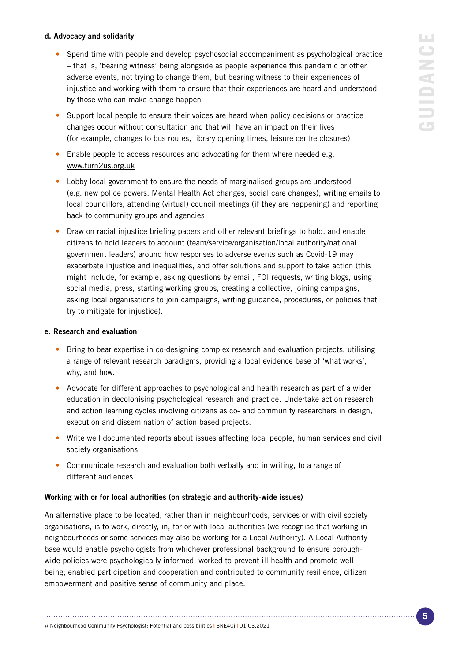# ш **GUIDANCE** GUIDANC

### d. Advocacy and solidarity

- Spend time with people and develop psychosocial accompaniment as psychological practice – that is, 'bearing witness' being alongside as people experience this pandemic or other adverse events, not trying to change them, but bearing witness to their experiences of injustice and working with them to ensure that their experiences are heard and understood by those who can make change happen
- Support local people to ensure their voices are heard when policy decisions or practice changes occur without consultation and that will have an impact on their lives (for example, changes to bus routes, library opening times, leisure centre closures)
- Enable people to access resources and advocating for them where needed e.g. [www.turn2us.org.uk](https://www.turn2us.org.uk)
- Lobby local government to ensure the needs of marginalised groups are understood (e.g. new police powers, Mental Health Act changes, social care changes); writing emails to local councillors, attending (virtual) council meetings (if they are happening) and reporting back to community groups and agencies
- Draw on [racial injustice briefing papers](https://charitysowhite.org/covid19) and other relevant briefings to hold, and enable citizens to hold leaders to account (team/service/organisation/local authority/national government leaders) around how responses to adverse events such as Covid-19 may exacerbate injustice and inequalities, and offer solutions and support to take action (this might include, for example, asking questions by email, FOI requests, writing blogs, using social media, press, starting working groups, creating a collective, joining campaigns, asking local organisations to join campaigns, writing guidance, procedures, or policies that try to mitigate for injustice).

### e. Research and evaluation

- Bring to bear expertise in co-designing complex research and evaluation projects, utilising a range of relevant research paradigms, providing a local evidence base of 'what works', why, and how.
- Advocate for different approaches to psychological and health research as part of a wider education in [decolonising psychological research and practice](https://thepsychologist.bps.org.uk/volume-33/march-2020/i-understood-when-i-listened-peoples-stories). Undertake action research and action learning cycles involving citizens as co- and community researchers in design, execution and dissemination of action based projects.
- Write well documented reports about issues affecting local people, human services and civil society organisations
- Communicate research and evaluation both verbally and in writing, to a range of different audiences.

### Working with or for local authorities (on strategic and authority-wide issues)

An alternative place to be located, rather than in neighbourhoods, services or with civil society organisations, is to work, directly, in, for or with local authorities (we recognise that working in neighbourhoods or some services may also be working for a Local Authority). A Local Authority base would enable psychologists from whichever professional background to ensure boroughwide policies were psychologically informed, worked to prevent ill-health and promote wellbeing; enabled participation and cooperation and contributed to community resilience, citizen empowerment and positive sense of community and place.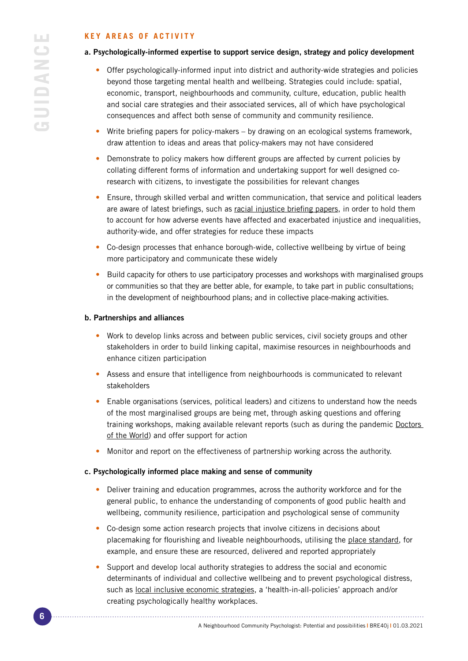### **KEY AREAS OF ACTIVITY**

### a. Psychologically-informed expertise to support service design, strategy and policy development

- Offer psychologically-informed input into district and authority-wide strategies and policies beyond those targeting mental health and wellbeing. Strategies could include: spatial, economic, transport, neighbourhoods and community, culture, education, public health and social care strategies and their associated services, all of which have psychological consequences and affect both sense of community and community resilience.
- Write briefing papers for policy-makers by drawing on an ecological systems framework, draw attention to ideas and areas that policy-makers may not have considered
- Demonstrate to policy makers how different groups are affected by current policies by collating different forms of information and undertaking support for well designed coresearch with citizens, to investigate the possibilities for relevant changes
- Ensure, through skilled verbal and written communication, that service and political leaders are aware of latest briefings, such as [racial injustice briefing papers](https://charitysowhite.org/covid19), in order to hold them to account for how adverse events have affected and exacerbated injustice and inequalities, authority-wide, and offer strategies for reduce these impacts
- Co-design processes that enhance borough-wide, collective wellbeing by virtue of being more participatory and communicate these widely
- Build capacity for others to use participatory processes and workshops with marginalised groups or communities so that they are better able, for example, to take part in public consultations; in the development of neighbourhood plans; and in collective place-making activities.

### b. Partnerships and alliances

- Work to develop links across and between public services, civil society groups and other stakeholders in order to build linking capital, maximise resources in neighbourhoods and enhance citizen participation
- Assess and ensure that intelligence from neighbourhoods is communicated to relevant stakeholders
- Enable organisations (services, political leaders) and citizens to understand how the needs of the most marginalised groups are being met, through asking questions and offering training workshops, making available relevant reports (such as during the pandemic [Doctors](https://www.doctorsoftheworld.org.uk/wp-content/uploads/2020/07/covid19-brief-rna-report.pdf)  [of the World\)](https://www.doctorsoftheworld.org.uk/wp-content/uploads/2020/07/covid19-brief-rna-report.pdf) and offer support for action
- Monitor and report on the effectiveness of partnership working across the authority.

### c. Psychologically informed place making and sense of community

- Deliver training and education programmes, across the authority workforce and for the general public, to enhance the understanding of components of good public health and wellbeing, community resilience, participation and psychological sense of community
- Co-design some action research projects that involve citizens in decisions about placemaking for flourishing and liveable neighbourhoods, utilising the [place standard](https://www.placestandard.scot/), for example, and ensure these are resourced, delivered and reported appropriately
- Support and develop local authority strategies to address the social and economic determinants of individual and collective wellbeing and to prevent psychological distress, such as [local inclusive economic strategies,](https://thepsychologist.bps.org.uk/volume-33/summer-2020/restoring-and-honouring-community
) a 'health-in-all-policies' approach and/or creating psychologically healthy workplaces.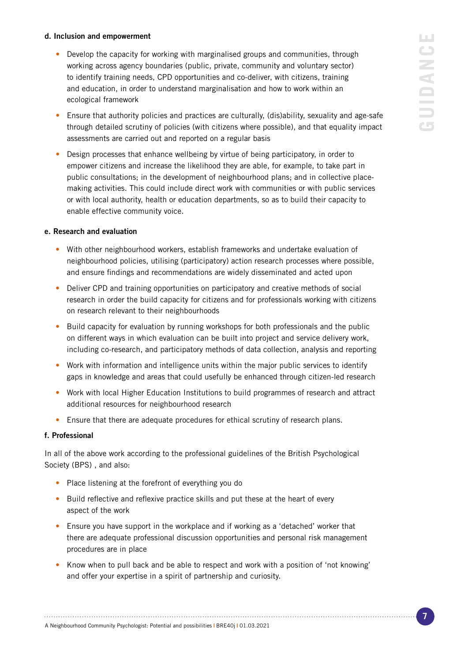## LU. **GUIDANCE**  $\bigcup$ GUIDANI

### d. Inclusion and empowerment

- Develop the capacity for working with marginalised groups and communities, through working across agency boundaries (public, private, community and voluntary sector) to identify training needs, CPD opportunities and co-deliver, with citizens, training and education, in order to understand marginalisation and how to work within an ecological framework
- Ensure that authority policies and practices are culturally, (dis)ability, sexuality and age-safe through detailed scrutiny of policies (with citizens where possible), and that equality impact assessments are carried out and reported on a regular basis
- Design processes that enhance wellbeing by virtue of being participatory, in order to empower citizens and increase the likelihood they are able, for example, to take part in public consultations; in the development of neighbourhood plans; and in collective placemaking activities. This could include direct work with communities or with public services or with local authority, health or education departments, so as to build their capacity to enable effective community voice.

### e. Research and evaluation

- With other neighbourhood workers, establish frameworks and undertake evaluation of neighbourhood policies, utilising (participatory) action research processes where possible, and ensure findings and recommendations are widely disseminated and acted upon
- Deliver CPD and training opportunities on participatory and creative methods of social research in order the build capacity for citizens and for professionals working with citizens on research relevant to their neighbourhoods
- Build capacity for evaluation by running workshops for both professionals and the public on different ways in which evaluation can be built into project and service delivery work, including co-research, and participatory methods of data collection, analysis and reporting
- Work with information and intelligence units within the major public services to identify gaps in knowledge and areas that could usefully be enhanced through citizen-led research
- Work with local Higher Education Institutions to build programmes of research and attract additional resources for neighbourhood research
- Ensure that there are adequate procedures for ethical scrutiny of research plans.

### f. Professional

In all of the above work according to the professional guidelines of the British Psychological Society (BPS) , and also:

- Place listening at the forefront of everything you do
- Build reflective and reflexive practice skills and put these at the heart of every aspect of the work

- Ensure you have support in the workplace and if working as a 'detached' worker that there are adequate professional discussion opportunities and personal risk management procedures are in place
- Know when to pull back and be able to respect and work with a position of 'not knowing' and offer your expertise in a spirit of partnership and curiosity.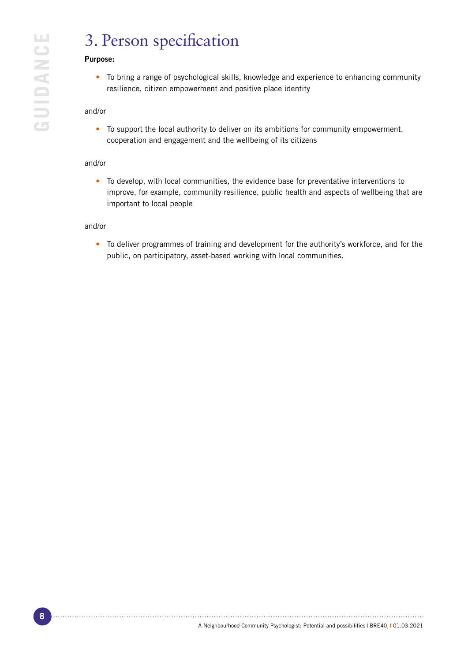### 3. Person specification

### Purpose:

• To bring a range of psychological skills, knowledge and experience to enhancing community resilience, citizen empowerment and positive place identity

### and/or

• To support the local authority to deliver on its ambitions for community empowerment, cooperation and engagement and the wellbeing of its citizens

### and/or

• To develop, with local communities, the evidence base for preventative interventions to improve, for example, community resilience, public health and aspects of wellbeing that are important to local people

### and/or

• To deliver programmes of training and development for the authority's workforce, and for the public, on participatory, asset-based working with local communities.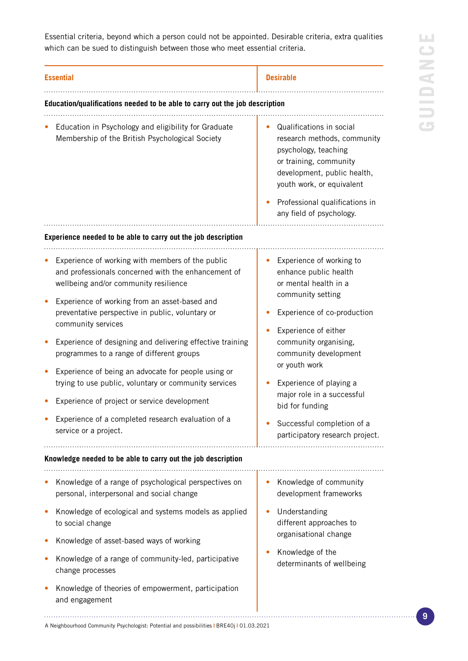**LLI GUIDANCE** GUIDANC

Essential criteria, beyond which a person could not be appointed. Desirable criteria, extra qualities which can be sued to distinguish between those who meet essential criteria.

| <b>Essential</b> |                                                                                                                                                                                                                                                                                                                                                                                                                                                                                                                                                                                                                                      | <b>Desirable</b>                                                                                                                                                                                                                                                                                                                                                       |
|------------------|--------------------------------------------------------------------------------------------------------------------------------------------------------------------------------------------------------------------------------------------------------------------------------------------------------------------------------------------------------------------------------------------------------------------------------------------------------------------------------------------------------------------------------------------------------------------------------------------------------------------------------------|------------------------------------------------------------------------------------------------------------------------------------------------------------------------------------------------------------------------------------------------------------------------------------------------------------------------------------------------------------------------|
|                  | Education/qualifications needed to be able to carry out the job description                                                                                                                                                                                                                                                                                                                                                                                                                                                                                                                                                          |                                                                                                                                                                                                                                                                                                                                                                        |
|                  | Education in Psychology and eligibility for Graduate<br>Membership of the British Psychological Society                                                                                                                                                                                                                                                                                                                                                                                                                                                                                                                              | Qualifications in social<br>research methods, community<br>psychology, teaching<br>or training, community<br>development, public health,<br>youth work, or equivalent<br>Professional qualifications in<br>any field of psychology.                                                                                                                                    |
|                  | Experience needed to be able to carry out the job description                                                                                                                                                                                                                                                                                                                                                                                                                                                                                                                                                                        |                                                                                                                                                                                                                                                                                                                                                                        |
|                  | Experience of working with members of the public<br>and professionals concerned with the enhancement of<br>wellbeing and/or community resilience<br>Experience of working from an asset-based and<br>preventative perspective in public, voluntary or<br>community services<br>Experience of designing and delivering effective training<br>programmes to a range of different groups<br>Experience of being an advocate for people using or<br>trying to use public, voluntary or community services<br>Experience of project or service development<br>Experience of a completed research evaluation of a<br>service or a project. | Experience of working to<br>enhance public health<br>or mental health in a<br>community setting<br>Experience of co-production<br>Experience of either<br>community organising,<br>community development<br>or youth work<br>Experience of playing a<br>major role in a successful<br>bid for funding<br>Successful completion of a<br>participatory research project. |
|                  | Knowledge needed to be able to carry out the job description                                                                                                                                                                                                                                                                                                                                                                                                                                                                                                                                                                         |                                                                                                                                                                                                                                                                                                                                                                        |
|                  | Knowledge of a range of psychological perspectives on<br>personal, interpersonal and social change<br>Knowledge of ecological and systems models as applied<br>to social change<br>Knowledge of asset-based ways of working                                                                                                                                                                                                                                                                                                                                                                                                          | Knowledge of community<br>development frameworks<br>Understanding<br>different approaches to<br>organisational change<br>Knowledge of the<br>determinants of wellbeing                                                                                                                                                                                                 |
|                  | Knowledge of a range of community-led, participative<br>change processes<br>Knowledge of theories of empowerment, participation<br>and engagement                                                                                                                                                                                                                                                                                                                                                                                                                                                                                    |                                                                                                                                                                                                                                                                                                                                                                        |
|                  |                                                                                                                                                                                                                                                                                                                                                                                                                                                                                                                                                                                                                                      |                                                                                                                                                                                                                                                                                                                                                                        |

A Neighbourhood Community Psychologist: Potential and possibilities **|** BRE40j **|** 01.03.2021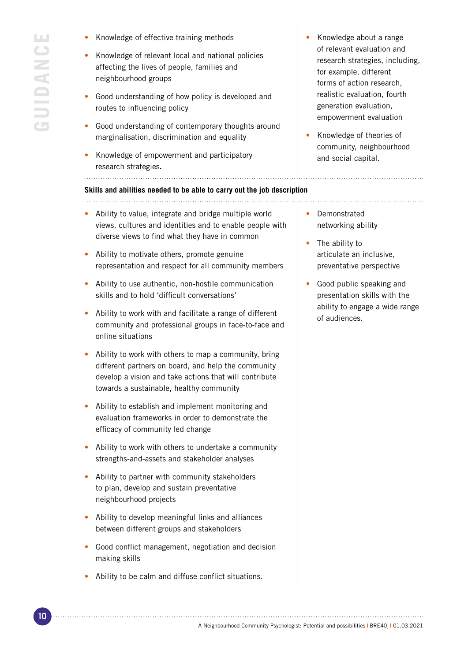- Knowledge of effective training methods
- Knowledge of relevant local and national policies affecting the lives of people, families and neighbourhood groups
- Good understanding of how policy is developed and routes to influencing policy
- Good understanding of contemporary thoughts around marginalisation, discrimination and equality
- Knowledge of empowerment and participatory research strategies**.**

#### **Skills and abilities needed to be able to carry out the job description**

- Ability to value, integrate and bridge multiple world views, cultures and identities and to enable people with diverse views to find what they have in common
- Ability to motivate others, promote genuine representation and respect for all community members
- Ability to use authentic, non-hostile communication skills and to hold 'difficult conversations'
- Ability to work with and facilitate a range of different community and professional groups in face-to-face and online situations
- Ability to work with others to map a community, bring different partners on board, and help the community develop a vision and take actions that will contribute towards a sustainable, healthy community
- Ability to establish and implement monitoring and evaluation frameworks in order to demonstrate the efficacy of community led change
- Ability to work with others to undertake a community strengths-and-assets and stakeholder analyses
- Ability to partner with community stakeholders to plan, develop and sustain preventative neighbourhood projects
- Ability to develop meaningful links and alliances between different groups and stakeholders
- Good conflict management, negotiation and decision making skills
- Ability to be calm and diffuse conflict situations.
- Knowledge about a range of relevant evaluation and research strategies, including, for example, different forms of action research, realistic evaluation, fourth generation evaluation, empowerment evaluation
- Knowledge of theories of community, neighbourhood and social capital.

- **Demonstrated** networking ability
- The ability to articulate an inclusive, preventative perspective
- Good public speaking and presentation skills with the ability to engage a wide range of audiences.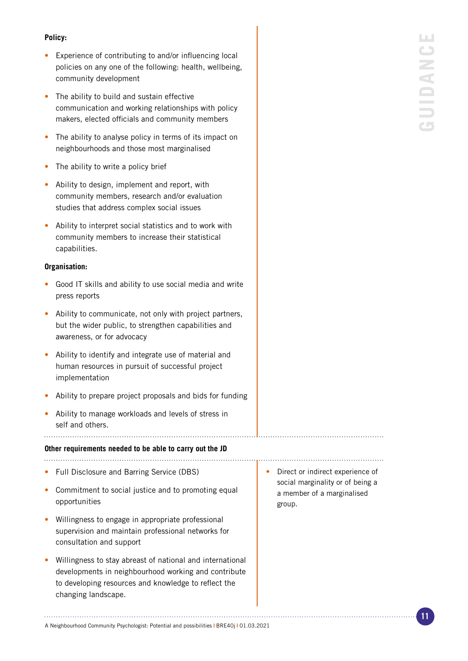### **Policy:**

- Experience of contributing to and/or influencing local policies on any one of the following: health, wellbeing, community development
- The ability to build and sustain effective communication and working relationships with policy makers, elected officials and community members
- The ability to analyse policy in terms of its impact on neighbourhoods and those most marginalised
- The ability to write a policy brief
- Ability to design, implement and report, with community members, research and/or evaluation studies that address complex social issues
- Ability to interpret social statistics and to work with community members to increase their statistical capabilities.

### **Organisation:**

- Good IT skills and ability to use social media and write press reports
- Ability to communicate, not only with project partners, but the wider public, to strengthen capabilities and awareness, or for advocacy
- Ability to identify and integrate use of material and human resources in pursuit of successful project implementation
- Ability to prepare project proposals and bids for funding

• Ability to manage workloads and levels of stress in self and others.

### **Other requirements needed to be able to carry out the JD**

- Full Disclosure and Barring Service (DBS)
- Commitment to social justice and to promoting equal opportunities
- Willingness to engage in appropriate professional supervision and maintain professional networks for consultation and support
- Willingness to stay abreast of national and international developments in neighbourhood working and contribute to developing resources and knowledge to reflect the changing landscape.
- Direct or indirect experience of social marginality or of being a a member of a marginalised group.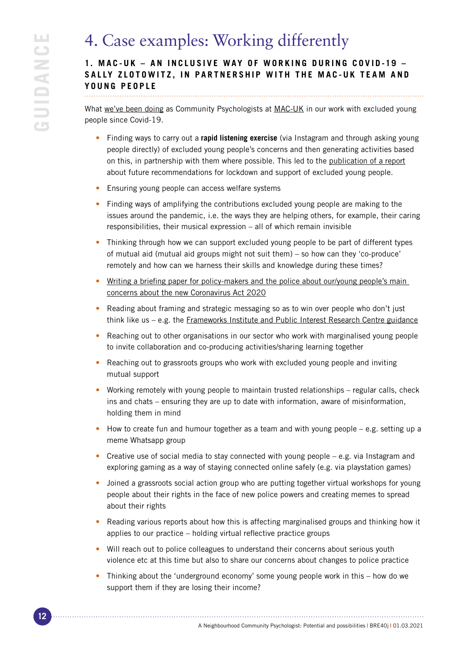### 4. Case examples: Working differently

### **1. MAC-UK – AN INCLUSIVE WAY OF WORKING DURING COVID-19 –** SALLY ZLOTOWITZ. IN PARTNERSHIP WITH THE MAC-UK TEAM AND **YOUNG PEOPLE**

What [we've been doing](https://www.mac-uk.org/news/covid19) as Community Psychologists at [MAC-UK](https://mac-uk.org/) in our work with excluded young people since Covid-19.

- Finding ways to carry out a **rapid listening exercise** (via Instagram and through asking young people directly) of excluded young people's concerns and then generating activities based on this, in partnership with them where possible. This led to the [publication of a report](https://www.redthread.org.uk/wp-content/uploads/2020/09/lockdown-report-full.pdf) about future recommendations for lockdown and support of excluded young people.
- Ensuring young people can access welfare systems
- Finding ways of amplifying the contributions excluded young people are making to the issues around the pandemic, i.e. the ways they are helping others, for example, their caring responsibilities, their musical expression – all of which remain invisible
- Thinking through how we can support excluded young people to be part of different types of mutual aid (mutual aid groups might not suit them) – so how can they 'co-produce' remotely and how can we harness their skills and knowledge during these times?
- Writing a briefing paper for policy-makers and the police about our/young people's main [concerns about the new Coronavirus Act 2020](https://mac-uk.org/wp-content/uploads/2020/08/COVID-19_Policy_Recommendations.pdf)
- Reading about framing and strategic messaging so as to win over people who don't just think like us – e.g. the [Frameworks Institute and Public Interest Research Centre guidance](https://www.frameworksinstitute.org/external-article/beyond-the-game-is-rigged-model-of-the-economy/)
- Reaching out to other organisations in our sector who work with marginalised young people to invite collaboration and co-producing activities/sharing learning together
- Reaching out to grassroots groups who work with excluded young people and inviting mutual support
- Working remotely with young people to maintain trusted relationships regular calls, check ins and chats – ensuring they are up to date with information, aware of misinformation, holding them in mind
- How to create fun and humour together as a team and with young people e.g. setting up a meme Whatsapp group
- Creative use of social media to stay connected with young people  $-$  e.g. via Instagram and exploring gaming as a way of staying connected online safely (e.g. via playstation games)
- Joined a grassroots social action group who are putting together virtual workshops for young people about their rights in the face of new police powers and creating memes to spread about their rights
- Reading various reports about how this is affecting marginalised groups and thinking how it applies to our practice – holding virtual reflective practice groups
- Will reach out to police colleagues to understand their concerns about serious youth violence etc at this time but also to share our concerns about changes to police practice
- Thinking about the 'underground economy' some young people work in this how do we support them if they are losing their income?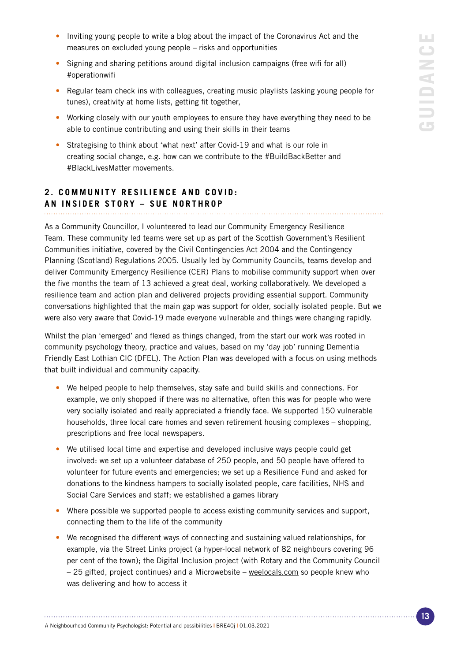- Inviting young people to write a blog about the impact of the Coronavirus Act and the measures on excluded young people – risks and opportunities
- Signing and sharing petitions around digital inclusion campaigns (free wifi for all) #operationwifi
- Regular team check ins with colleagues, creating music playlists (asking young people for tunes), creativity at home lists, getting fit together,
- Working closely with our youth employees to ensure they have everything they need to be able to continue contributing and using their skills in their teams
- Strategising to think about 'what next' after Covid-19 and what is our role in creating social change, e.g. how can we contribute to the #BuildBackBetter and #BlackLivesMatter movements.

### **2. COMMUNITY RESILIENCE AND COVID: AN INSIDER STORY – SUE NORTHROP**

As a Community Councillor, I volunteered to lead our Community Emergency Resilience Team. These community led teams were set up as part of the Scottish Government's Resilient Communities initiative, covered by the Civil Contingencies Act 2004 and the Contingency Planning (Scotland) Regulations 2005. Usually led by Community Councils, teams develop and deliver Community Emergency Resilience (CER) Plans to mobilise community support when over the five months the team of 13 achieved a great deal, working collaboratively. We developed a resilience team and action plan and delivered projects providing essential support. Community conversations highlighted that the main gap was support for older, socially isolated people. But we were also very aware that Covid-19 made everyone vulnerable and things were changing rapidly.

Whilst the plan 'emerged' and flexed as things changed, from the start our work was rooted in community psychology theory, practice and values, based on my 'day job' running Dementia Friendly East Lothian CIC [\(DFEL](https://dfel.org.uk/)). The Action Plan was developed with a focus on using methods that built individual and community capacity.

- We helped people to help themselves, stay safe and build skills and connections. For example, we only shopped if there was no alternative, often this was for people who were very socially isolated and really appreciated a friendly face. We supported 150 vulnerable households, three local care homes and seven retirement housing complexes – shopping, prescriptions and free local newspapers.
- We utilised local time and expertise and developed inclusive ways people could get involved: we set up a volunteer database of 250 people, and 50 people have offered to volunteer for future events and emergencies; we set up a Resilience Fund and asked for donations to the kindness hampers to socially isolated people, care facilities, NHS and Social Care Services and staff; we established a games library
- Where possible we supported people to access existing community services and support, connecting them to the life of the community
- We recognised the different ways of connecting and sustaining valued relationships, for example, via the Street Links project (a hyper-local network of 82 neighbours covering 96 per cent of the town); the Digital Inclusion project (with Rotary and the Community Council – 25 gifted, project continues) and a Microwebsite – [weelocals.com](https://www.weelocals.com/) so people knew who was delivering and how to access it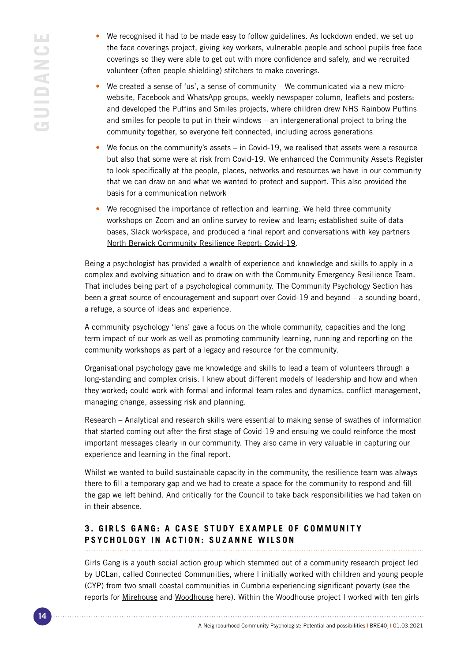- We recognised it had to be made easy to follow guidelines. As lockdown ended, we set up the face coverings project, giving key workers, vulnerable people and school pupils free face coverings so they were able to get out with more confidence and safely, and we recruited volunteer (often people shielding) stitchers to make coverings.
- We created a sense of 'us', a sense of community We communicated via a new microwebsite, Facebook and WhatsApp groups, weekly newspaper column, leaflets and posters; and developed the Puffins and Smiles projects, where children drew NHS Rainbow Puffins and smiles for people to put in their windows – an intergenerational project to bring the community together, so everyone felt connected, including across generations
- We focus on the community's assets  $-$  in Covid-19, we realised that assets were a resource but also that some were at risk from Covid-19. We enhanced the Community Assets Register to look specifically at the people, places, networks and resources we have in our community that we can draw on and what we wanted to protect and support. This also provided the basis for a communication network
- We recognised the importance of reflection and learning. We held three community workshops on Zoom and an online survey to review and learn; established suite of data bases, Slack workspace, and produced a final report and conversations with key partners [North Berwick Community Resilience Report: Covid-19](https://northberwickcommunitycouncil.org.uk/resilience-plan/).

Being a psychologist has provided a wealth of experience and knowledge and skills to apply in a complex and evolving situation and to draw on with the Community Emergency Resilience Team. That includes being part of a psychological community. The Community Psychology Section has been a great source of encouragement and support over Covid-19 and beyond – a sounding board, a refuge, a source of ideas and experience.

A community psychology 'lens' gave a focus on the whole community, capacities and the long term impact of our work as well as promoting community learning, running and reporting on the community workshops as part of a legacy and resource for the community.

Organisational psychology gave me knowledge and skills to lead a team of volunteers through a long-standing and complex crisis. I knew about different models of leadership and how and when they worked; could work with formal and informal team roles and dynamics, conflict management, managing change, assessing risk and planning.

Research – Analytical and research skills were essential to making sense of swathes of information that started coming out after the first stage of Covid-19 and ensuing we could reinforce the most important messages clearly in our community. They also came in very valuable in capturing our experience and learning in the final report.

Whilst we wanted to build sustainable capacity in the community, the resilience team was always there to fill a temporary gap and we had to create a space for the community to respond and fill the gap we left behind. And critically for the Council to take back responsibilities we had taken on in their absence.

### **3. GIRLS GANG: A CASE STUDY EXAMPLE OF COMMUNITY PSYCHOLOGY IN ACTION: SUZANNE WILSON**

Girls Gang is a youth social action group which stemmed out of a community research project led by UCLan, called Connected Communities, where I initially worked with children and young people (CYP) from two small coastal communities in Cumbria experiencing significant poverty (see the reports for [Mirehouse](https://clok.uclan.ac.uk/34921/1/UCLan%20Connected%20Communities%20Mirehouse%20Sept%202020.pdf) and [Woodhouse](https://clok.uclan.ac.uk/34922/1/UCLan%20Connected%20Communities%20Woodhouse%20Sept%2020.pdf) here). Within the Woodhouse project I worked with ten girls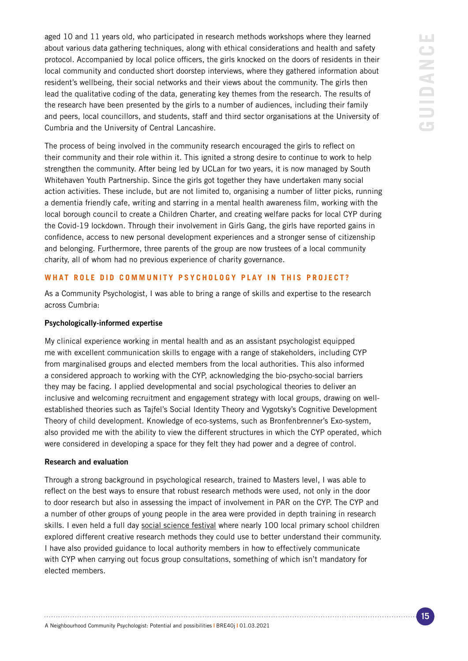aged 10 and 11 years old, who participated in research methods workshops where they learned about various data gathering techniques, along with ethical considerations and health and safety protocol. Accompanied by local police officers, the girls knocked on the doors of residents in their local community and conducted short doorstep interviews, where they gathered information about resident's wellbeing, their social networks and their views about the community. The girls then lead the qualitative coding of the data, generating key themes from the research. The results of the research have been presented by the girls to a number of audiences, including their family and peers, local councillors, and students, staff and third sector organisations at the University of Cumbria and the University of Central Lancashire.

The process of being involved in the community research encouraged the girls to reflect on their community and their role within it. This ignited a strong desire to continue to work to help strengthen the community. After being led by UCLan for two years, it is now managed by South Whitehaven Youth Partnership. Since the girls got together they have undertaken many social action activities. These include, but are not limited to, organising a number of litter picks, running a dementia friendly cafe, writing and starring in a mental health awareness film, working with the local borough council to create a Children Charter, and creating welfare packs for local CYP during the Covid-19 lockdown. Through their involvement in Girls Gang, the girls have reported gains in confidence, access to new personal development experiences and a stronger sense of citizenship and belonging. Furthermore, three parents of the group are now trustees of a local community charity, all of whom had no previous experience of charity governance.

### **WHAT ROLE DID COMMUNITY PSYCHOLOGY PLAY IN THIS PROJECT?**

As a Community Psychologist, I was able to bring a range of skills and expertise to the research across Cumbria:

### Psychologically-informed expertise

My clinical experience working in mental health and as an assistant psychologist equipped me with excellent communication skills to engage with a range of stakeholders, including CYP from marginalised groups and elected members from the local authorities. This also informed a considered approach to working with the CYP, acknowledging the bio-psycho-social barriers they may be facing. I applied developmental and social psychological theories to deliver an inclusive and welcoming recruitment and engagement strategy with local groups, drawing on wellestablished theories such as Tajfel's Social Identity Theory and Vygotsky's Cognitive Development Theory of child development. Knowledge of eco-systems, such as Bronfenbrenner's Exo-system, also provided me with the ability to view the different structures in which the CYP operated, which were considered in developing a space for they felt they had power and a degree of control.

### Research and evaluation

Through a strong background in psychological research, trained to Masters level, I was able to reflect on the best ways to ensure that robust research methods were used, not only in the door to door research but also in assessing the impact of involvement in PAR on the CYP. The CYP and a number of other groups of young people in the area were provided in depth training in research skills. I even held a full day [social science festival](https://cumbriacrack.com/2019/11/07/children-celebrate-their-connected-communities/) where nearly 100 local primary school children explored different creative research methods they could use to better understand their community. I have also provided guidance to local authority members in how to effectively communicate with CYP when carrying out focus group consultations, something of which isn't mandatory for elected members.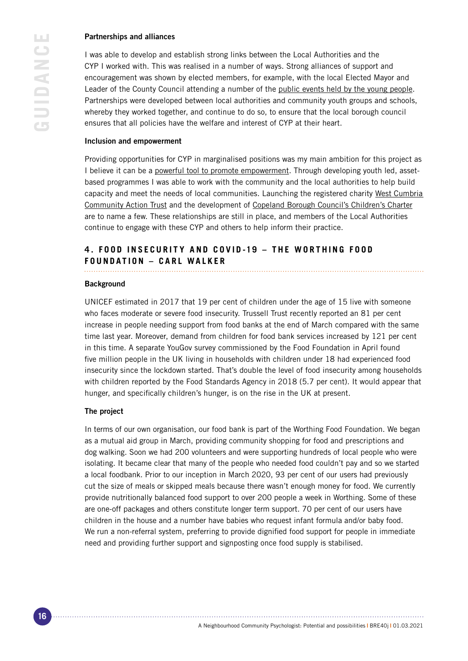### Partnerships and alliances

I was able to develop and establish strong links between the Local Authorities and the CYP I worked with. This was realised in a number of ways. Strong alliances of support and encouragement was shown by elected members, for example, with the local Elected Mayor and Leader of the County Council attending a number of the [public events held by the young people.](https://www.whitehavennews.co.uk/news/17105705.girls-gang-lead-example-whole-community/) Partnerships were developed between local authorities and community youth groups and schools, whereby they worked together, and continue to do so, to ensure that the local borough council ensures that all policies have the welfare and interest of CYP at their heart.

### Inclusion and empowerment

Providing opportunities for CYP in marginalised positions was my main ambition for this project as I believe it can be a [powerful tool to promote empowerment.](https://theconversation.com/child-poverty-is-at-a-20-year-high-but-in-one-english-community-children-themselves-are-intervening-115177) Through developing youth led, assetbased programmes I was able to work with the community and the local authorities to help build capacity and meet the needs of local communities. Launching the registered charity West Cumbria [Community Action Trust](https://m.facebook.com/WCCATCumbria) and the development of [Copeland Borough Council's Children's Charter](https://www.copeland.gov.uk/attachments/childrens-charter) are to name a few. These relationships are still in place, and members of the Local Authorities continue to engage with these CYP and others to help inform their practice.

### **4. FOOD INSECURITY AND COVID-19 - THE WORTHING FOOD FOUNDATION – CARL WALKER**

#### **Background**

UNICEF estimated in 2017 that 19 per cent of children under the age of 15 live with someone who faces moderate or severe food insecurity. Trussell Trust recently reported an 81 per cent increase in people needing support from food banks at the end of March compared with the same time last year. Moreover, demand from children for food bank services increased by 121 per cent in this time. A separate YouGov survey commissioned by the Food Foundation in April found five million people in the UK living in households with children under 18 had experienced food insecurity since the lockdown started. That's double the level of food insecurity among households with children reported by the Food Standards Agency in 2018 (5.7 per cent). It would appear that hunger, and specifically children's hunger, is on the rise in the UK at present.

### The project

In terms of our own organisation, our food bank is part of the Worthing Food Foundation. We began as a mutual aid group in March, providing community shopping for food and prescriptions and dog walking. Soon we had 200 volunteers and were supporting hundreds of local people who were isolating. It became clear that many of the people who needed food couldn't pay and so we started a local foodbank. Prior to our inception in March 2020, 93 per cent of our users had previously cut the size of meals or skipped meals because there wasn't enough money for food. We currently provide nutritionally balanced food support to over 200 people a week in Worthing. Some of these are one-off packages and others constitute longer term support. 70 per cent of our users have children in the house and a number have babies who request infant formula and/or baby food. We run a non-referral system, preferring to provide dignified food support for people in immediate need and providing further support and signposting once food supply is stabilised.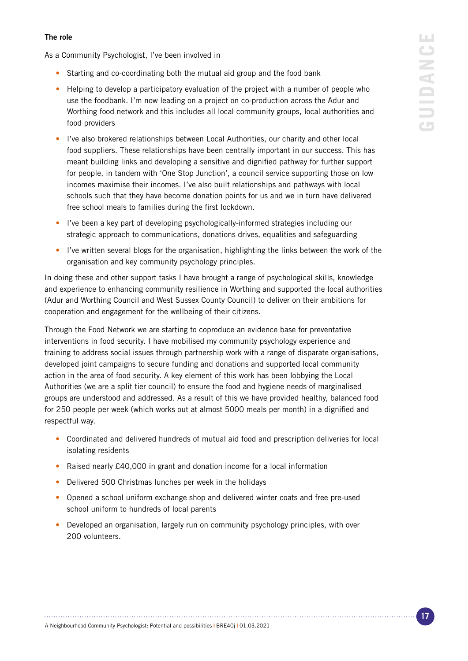### The role

As a Community Psychologist, I've been involved in

- Starting and co-coordinating both the mutual aid group and the food bank
- Helping to develop a participatory evaluation of the project with a number of people who use the foodbank. I'm now leading on a project on co-production across the Adur and Worthing food network and this includes all local community groups, local authorities and food providers
- I've also brokered relationships between Local Authorities, our charity and other local food suppliers. These relationships have been centrally important in our success. This has meant building links and developing a sensitive and dignified pathway for further support for people, in tandem with 'One Stop Junction', a council service supporting those on low incomes maximise their incomes. I've also built relationships and pathways with local schools such that they have become donation points for us and we in turn have delivered free school meals to families during the first lockdown.
- I've been a key part of developing psychologically-informed strategies including our strategic approach to communications, donations drives, equalities and safeguarding
- I've written several blogs for the organisation, highlighting the links between the work of the organisation and key community psychology principles.

In doing these and other support tasks I have brought a range of psychological skills, knowledge and experience to enhancing community resilience in Worthing and supported the local authorities (Adur and Worthing Council and West Sussex County Council) to deliver on their ambitions for cooperation and engagement for the wellbeing of their citizens.

Through the Food Network we are starting to coproduce an evidence base for preventative interventions in food security. I have mobilised my community psychology experience and training to address social issues through partnership work with a range of disparate organisations, developed joint campaigns to secure funding and donations and supported local community action in the area of food security. A key element of this work has been lobbying the Local Authorities (we are a split tier council) to ensure the food and hygiene needs of marginalised groups are understood and addressed. As a result of this we have provided healthy, balanced food for 250 people per week (which works out at almost 5000 meals per month) in a dignified and respectful way.

- Coordinated and delivered hundreds of mutual aid food and prescription deliveries for local isolating residents
- Raised nearly £40,000 in grant and donation income for a local information
- Delivered 500 Christmas lunches per week in the holidays
- Opened a school uniform exchange shop and delivered winter coats and free pre-used school uniform to hundreds of local parents
- Developed an organisation, largely run on community psychology principles, with over 200 volunteers.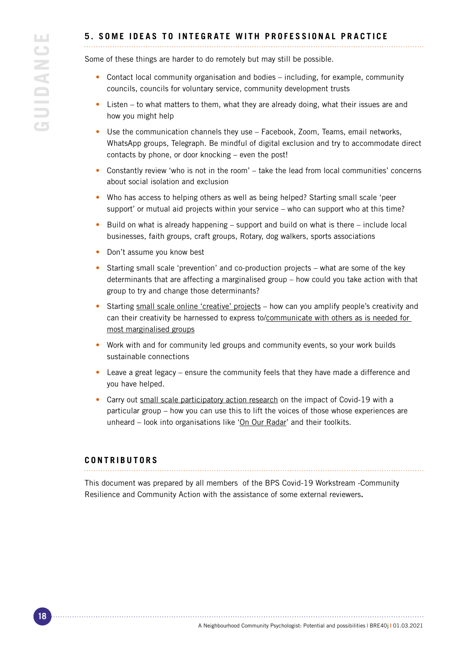### **5. SOME IDEAS TO INTEGRATE WITH PROFESSIONAL PRACTICE**

Some of these things are harder to do remotely but may still be possible.

- Contact local community organisation and bodies including, for example, community councils, councils for voluntary service, community development trusts
- Listen to what matters to them, what they are already doing, what their issues are and how you might help
- Use the communication channels they use Facebook, Zoom, Teams, email networks, WhatsApp groups, Telegraph. Be mindful of digital exclusion and try to accommodate direct contacts by phone, or door knocking – even the post!
- Constantly review 'who is not in the room' take the lead from local communities' concerns about social isolation and exclusion
- Who has access to helping others as well as being helped? Starting small scale 'peer support' or mutual aid projects within your service – who can support who at this time?
- Build on what is already happening support and build on what is there include local businesses, faith groups, craft groups, Rotary, dog walkers, sports associations
- Don't assume you know best
- Starting small scale 'prevention' and co-production projects what are some of the key determinants that are affecting a marginalised group – how could you take action with that group to try and change those determinants?
- Starting [small scale online 'creative' projects](https://www.theguardian.com/world/video/2020/mar/26/coronavirus-cabaret-the-online-show-combating-social-isolation-video?CMP=Share_AndroidApp_WhatsApp)  how can you amplify people's creativity and can their creativity be harnessed to express to/communicate with others as is needed for [most marginalised groups](https://interagencystandingcommittee.org/covid-19-how-include-marginalized-and-vulnerable-people-risk-communication-and-community-engagement)
- Work with and for community led groups and community events, so your work builds sustainable connections
- Leave a great legacy ensure the community feels that they have made a difference and you have helped.
- Carry out [small scale participatory action research](https://www.ncbi.nlm.nih.gov/pmc/articles/PMC2566051/) on the impact of Covid-19 with a particular group – how you can use this to lift the voices of those whose experiences are unheard – look into organisations like '[On Our Radar](https://onourradar.org/)' and their toolkits.

### **CONTRIBUTORS**

This document was prepared by all members of the BPS Covid-19 Workstream -Community Resilience and Community Action with the assistance of some external reviewers.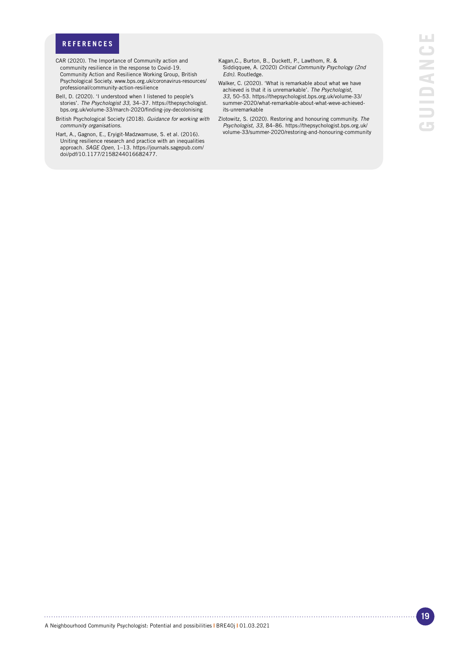### **REFERENCES**

- CAR (2020). The Importance of Community action and community resilience in the response to Covid-19. Community Action and Resilience Working Group, British Psychological Society. www.bps.org.uk/coronavirus-resources/ professional/community-action-resilience
- Bell, D. (2020). 'I understood when I listened to people's stories'. *The Psychologist 33,* 34–37. https://thepsychologist. bps.org.uk/volume-33/march-2020/finding-joy-decolonising
- British Psychological Society (2018). *Guidance for working with community organisations.*
- Hart, A., Gagnon, E., Eryigit-Madzwamuse, S. et al. (2016). Uniting resilience research and practice with an inequalities approach. *SAGE Open,* 1–13. https://journals.sagepub.com/ doi/pdf/10.1177/2158244016682477.
- Kagan,C., Burton, B., Duckett, P., Lawthom, R. & Siddiqquee, A. (2020) *Critical Community Psychology (2nd Edn).* Routledge.
- Walker, C. (2020). 'What is remarkable about what we have achieved is that it is unremarkable'. *The Psychologist, 33,* 50–53. https://thepsychologist.bps.org.uk/volume-33/ summer-2020/what-remarkable-about-what-weve-achievedits-unremarkable
- Zlotowitz, S. (2020). Restoring and honouring community. *The Psychologist, 33,* 84–86. https://thepsychologist.bps.org.uk/ volume-33/summer-2020/restoring-and-honouring-community